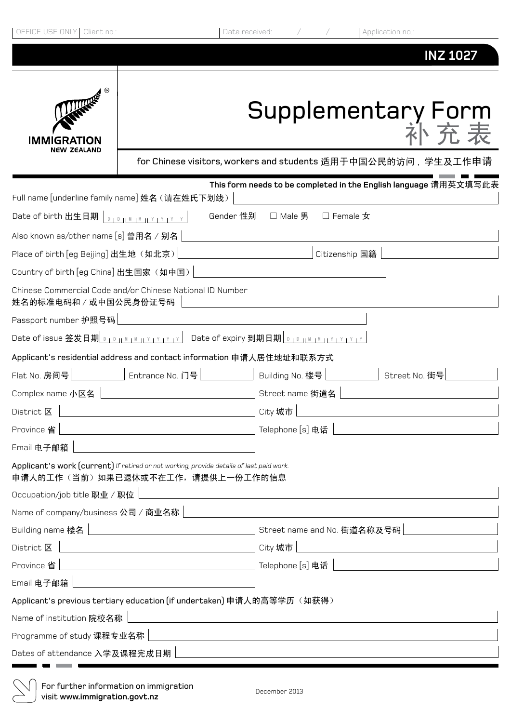| OFFICE USE ONLY<br>Client no.:                                                                                               | Date received:     |                             | Application no.:                                              |  |
|------------------------------------------------------------------------------------------------------------------------------|--------------------|-----------------------------|---------------------------------------------------------------|--|
|                                                                                                                              |                    |                             | <b>INZ 1027</b>                                               |  |
| <b>CONTRACTOR</b><br>IMMIGRATION<br>NEW ZEALAND                                                                              | Supplementary Form |                             |                                                               |  |
|                                                                                                                              |                    |                             | for Chinese visitors, workers and students 适用于中国公民的访问,学生及工作申请 |  |
| This form needs to be completed in the English language 请用英文填写此表                                                             |                    |                             |                                                               |  |
| Full name [underline family name] 姓名 (请在姓氏下划线)                                                                               |                    |                             |                                                               |  |
| Date of birth 出生日期<br>Gender 性别<br>$\Box$ Male 男<br>$\square$ Female $\bigstar$<br>$D + D + M + M + Y + Y + Y + Y$           |                    |                             |                                                               |  |
| Also known as/other name [s] 曾用名 / 别名                                                                                        |                    |                             |                                                               |  |
| Place of birth [eg Beijing] 出生地 (如北京)<br>Citizenship 国籍                                                                      |                    |                             |                                                               |  |
| Country of birth [eg China] 出生国家 (如中国)<br>Chinese Commercial Code and/or Chinese National ID Number                          |                    |                             |                                                               |  |
| 姓名的标准电码和 / 或中国公民身份证号码                                                                                                        |                    |                             |                                                               |  |
| Passport number 护照号码                                                                                                         |                    |                             |                                                               |  |
|                                                                                                                              |                    |                             |                                                               |  |
| Applicant's residential address and contact information 申请人居住地址和联系方式                                                         |                    |                             |                                                               |  |
| Entrance No. 门号<br>Flat No. 房间号                                                                                              |                    | Building No. 楼号             | Street No. 街号                                                 |  |
| Complex name 小区名                                                                                                             |                    | Street name 街道名             |                                                               |  |
| District $\mathbb E$                                                                                                         |                    | City 城市                     |                                                               |  |
| Province 省                                                                                                                   |                    | Telephone [s] 电话            |                                                               |  |
| Email 电子邮箱                                                                                                                   |                    |                             |                                                               |  |
| Applicant's work (current) If retired or not working, provide details of last paid work.<br>申请人的工作(当前)如果已退休或不在工作,请提供上一份工作的信息 |                    |                             |                                                               |  |
| Occupation/job title 职业 / 职位                                                                                                 |                    |                             |                                                               |  |
| Name of company/business 公司 / 商业名称                                                                                           |                    |                             |                                                               |  |
| Building name 楼名                                                                                                             |                    | Street name and No. 街道名称及号码 |                                                               |  |
| District 区                                                                                                                   |                    | City 城市                     |                                                               |  |
| Province 省                                                                                                                   |                    | Telephone [s] 电话            |                                                               |  |
| Email 电子邮箱                                                                                                                   |                    |                             |                                                               |  |
| Applicant's previous tertiary education (if undertaken) 申请人的高等学历(如获得)                                                        |                    |                             |                                                               |  |
| Name of institution 院校名称                                                                                                     |                    |                             |                                                               |  |
| Programme of study 课程专业名称                                                                                                    |                    |                             |                                                               |  |
| Dates of attendance 入学及课程完成日期                                                                                                |                    |                             |                                                               |  |